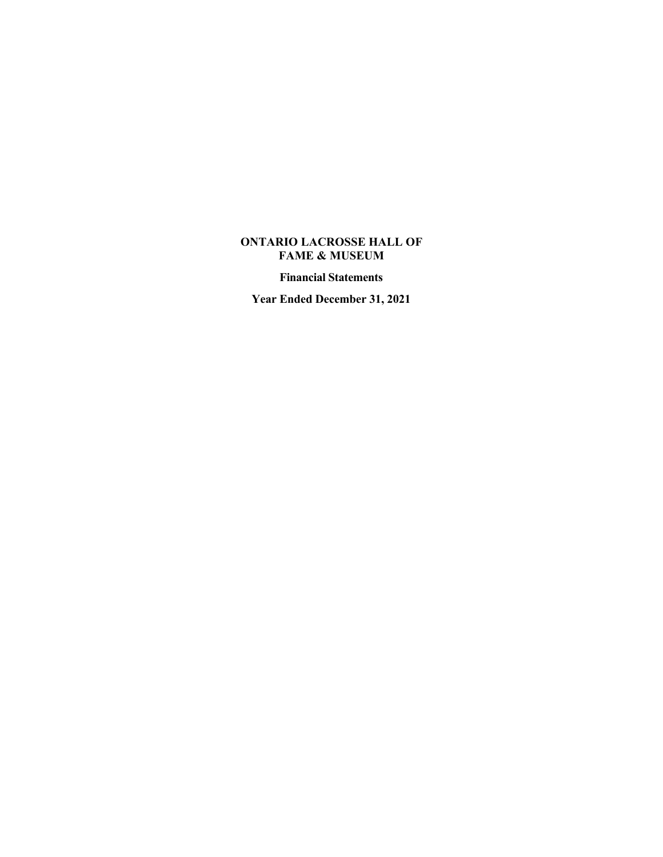**Financial Statements**

**Year Ended December 31, 2021**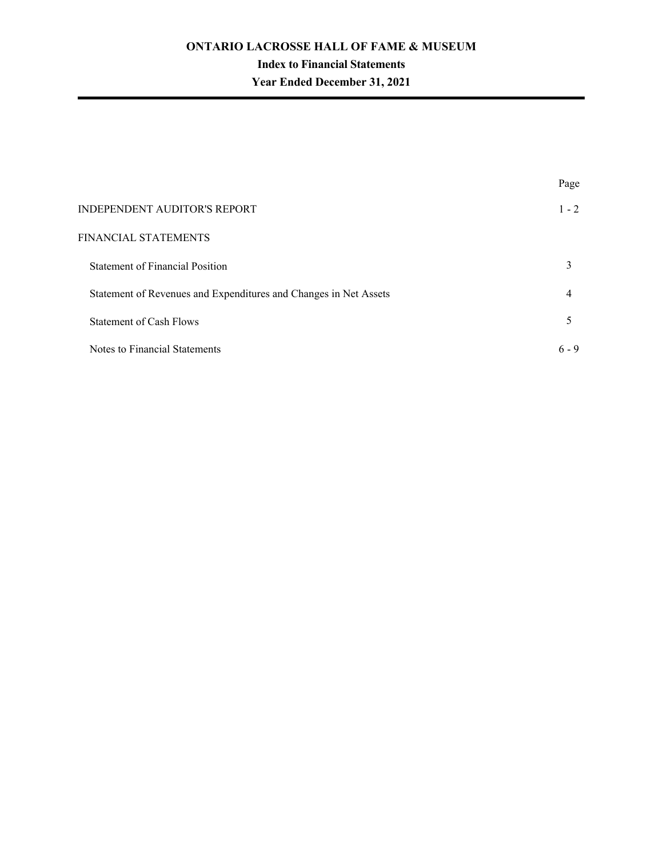|                                                                  | Page    |
|------------------------------------------------------------------|---------|
| <b>INDEPENDENT AUDITOR'S REPORT</b>                              | $1 - 2$ |
| <b>FINANCIAL STATEMENTS</b>                                      |         |
| <b>Statement of Financial Position</b>                           |         |
| Statement of Revenues and Expenditures and Changes in Net Assets | 4       |
| <b>Statement of Cash Flows</b>                                   | 5       |
| Notes to Financial Statements                                    | $6 - 9$ |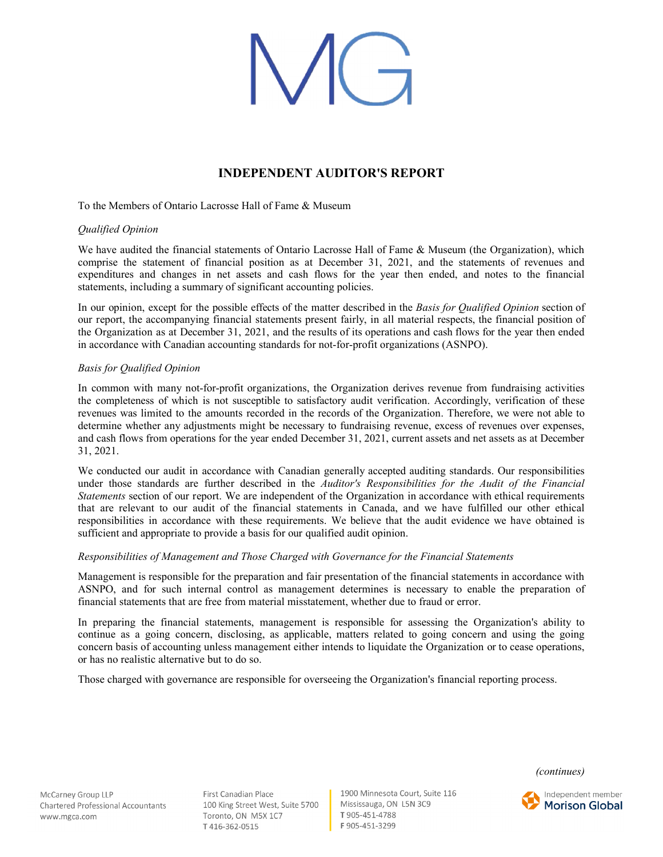# $\bigvee$  (  $\div$

# **INDEPENDENT AUDITOR'S REPORT**

To the Members of Ontario Lacrosse Hall of Fame & Museum

# *Qualified Opinion*

We have audited the financial statements of Ontario Lacrosse Hall of Fame & Museum (the Organization), which comprise the statement of financial position as at December 31, 2021, and the statements of revenues and expenditures and changes in net assets and cash flows for the year then ended, and notes to the financial statements, including a summary of significant accounting policies.

In our opinion, except for the possible effects of the matter described in the *Basis for Qualified Opinion* section of our report, the accompanying financial statements present fairly, in all material respects, the financial position of the Organization as at December 31, 2021, and the results of its operations and cash flows for the year then ended in accordance with Canadian accounting standards for not-for-profit organizations (ASNPO).

# *Basis for Qualified Opinion*

In common with many not-for-profit organizations, the Organization derives revenue from fundraising activities the completeness of which is not susceptible to satisfactory audit verification. Accordingly, verification of these revenues was limited to the amounts recorded in the records of the Organization. Therefore, we were not able to determine whether any adjustments might be necessary to fundraising revenue, excess of revenues over expenses, and cash flows from operations for the year ended December 31, 2021, current assets and net assets as at December 31, 2021.

We conducted our audit in accordance with Canadian generally accepted auditing standards. Our responsibilities under those standards are further described in the *Auditor's Responsibilities for the Audit of the Financial Statements* section of our report. We are independent of the Organization in accordance with ethical requirements that are relevant to our audit of the financial statements in Canada, and we have fulfilled our other ethical responsibilities in accordance with these requirements. We believe that the audit evidence we have obtained is sufficient and appropriate to provide a basis for our qualified audit opinion.

#### *Responsibilities of Management and Those Charged with Governance for the Financial Statements*

Management is responsible for the preparation and fair presentation of the financial statements in accordance with ASNPO, and for such internal control as management determines is necessary to enable the preparation of financial statements that are free from material misstatement, whether due to fraud or error.

In preparing the financial statements, management is responsible for assessing the Organization's ability to continue as a going concern, disclosing, as applicable, matters related to going concern and using the going concern basis of accounting unless management either intends to liquidate the Organization or to cease operations, or has no realistic alternative but to do so.

Those charged with governance are responsible for overseeing the Organization's financial reporting process.

First Canadian Place 100 King Street West, Suite 5700 Toronto, ON M5X 1C7 T416-362-0515

1900 Minnesota Court, Suite 116 Mississauga, ON L5N 3C9 T905-451-4788 F905-451-3299



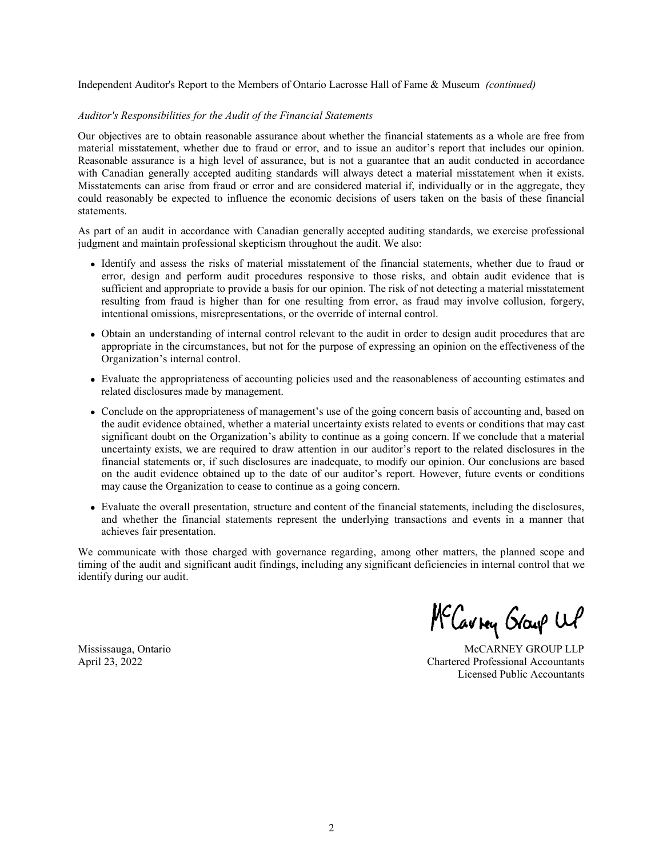# Independent Auditor's Report to the Members of Ontario Lacrosse Hall of Fame & Museum *(continued)*

#### *Auditor's Responsibilities for the Audit of the Financial Statements*

Our objectives are to obtain reasonable assurance about whether the financial statements as a whole are free from material misstatement, whether due to fraud or error, and to issue an auditor's report that includes our opinion. Reasonable assurance is a high level of assurance, but is not a guarantee that an audit conducted in accordance with Canadian generally accepted auditing standards will always detect a material misstatement when it exists. Misstatements can arise from fraud or error and are considered material if, individually or in the aggregate, they could reasonably be expected to influence the economic decisions of users taken on the basis of these financial statements.

As part of an audit in accordance with Canadian generally accepted auditing standards, we exercise professional judgment and maintain professional skepticism throughout the audit. We also:

- Identify and assess the risks of material misstatement of the financial statements, whether due to fraud or error, design and perform audit procedures responsive to those risks, and obtain audit evidence that is sufficient and appropriate to provide a basis for our opinion. The risk of not detecting a material misstatement resulting from fraud is higher than for one resulting from error, as fraud may involve collusion, forgery, intentional omissions, misrepresentations, or the override of internal control.
- Obtain an understanding of internal control relevant to the audit in order to design audit procedures that are appropriate in the circumstances, but not for the purpose of expressing an opinion on the effectiveness of the Organization's internal control.
- Evaluate the appropriateness of accounting policies used and the reasonableness of accounting estimates and related disclosures made by management.
- Conclude on the appropriateness of management's use of the going concern basis of accounting and, based on the audit evidence obtained, whether a material uncertainty exists related to events or conditions that may cast significant doubt on the Organization's ability to continue as a going concern. If we conclude that a material uncertainty exists, we are required to draw attention in our auditor's report to the related disclosures in the financial statements or, if such disclosures are inadequate, to modify our opinion. Our conclusions are based on the audit evidence obtained up to the date of our auditor's report. However, future events or conditions may cause the Organization to cease to continue as a going concern.
- Evaluate the overall presentation, structure and content of the financial statements, including the disclosures, and whether the financial statements represent the underlying transactions and events in a manner that achieves fair presentation.

We communicate with those charged with governance regarding, among other matters, the planned scope and timing of the audit and significant audit findings, including any significant deficiencies in internal control that we identify during our audit.

MCCarney Group WP

Mississauga, Ontario McCARNEY GROUP LLP April 23, 2022 Chartered Professional Accountants Licensed Public Accountants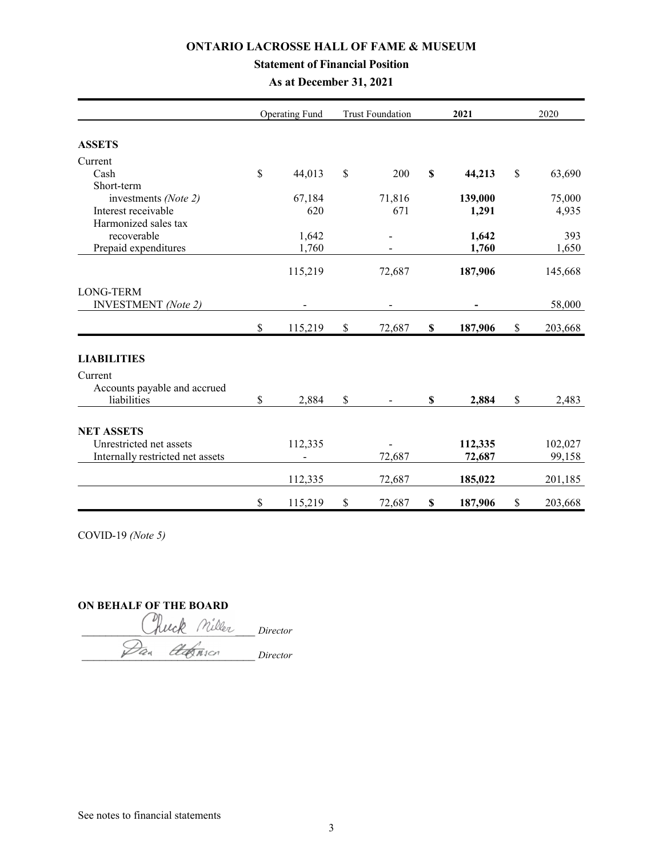# **Statement of Financial Position**

**As at December 31, 2021**

|                                         | <b>Operating Fund</b> |              | <b>Trust Foundation</b> | 2021        |         | 2020 |         |
|-----------------------------------------|-----------------------|--------------|-------------------------|-------------|---------|------|---------|
| <b>ASSETS</b>                           |                       |              |                         |             |         |      |         |
| Current                                 |                       |              |                         |             |         |      |         |
| Cash                                    | \$<br>44,013          | \$           | 200                     | \$          | 44,213  | \$   | 63,690  |
| Short-term                              |                       |              |                         |             |         |      |         |
| investments (Note 2)                    | 67,184                |              | 71,816                  |             | 139,000 |      | 75,000  |
| Interest receivable                     | 620                   |              | 671                     |             | 1,291   |      | 4,935   |
| Harmonized sales tax                    |                       |              |                         |             |         |      |         |
| recoverable                             | 1,642                 |              |                         |             | 1,642   |      | 393     |
| Prepaid expenditures                    | 1,760                 |              |                         |             | 1,760   |      | 1,650   |
|                                         | 115,219               |              | 72,687                  |             | 187,906 |      | 145,668 |
| LONG-TERM<br><b>INVESTMENT</b> (Note 2) |                       |              |                         |             |         |      | 58,000  |
|                                         | \$<br>115,219         | \$           | 72,687                  | $\mathbf S$ | 187,906 | \$   | 203,668 |
| <b>LIABILITIES</b>                      |                       |              |                         |             |         |      |         |
| Current                                 |                       |              |                         |             |         |      |         |
| Accounts payable and accrued            |                       |              |                         |             |         |      |         |
| liabilities                             | \$<br>2,884           | $\mathbb{S}$ |                         | \$          | 2,884   | \$   | 2,483   |
| <b>NET ASSETS</b>                       |                       |              |                         |             |         |      |         |
| Unrestricted net assets                 | 112,335               |              |                         |             | 112,335 |      | 102,027 |
| Internally restricted net assets        |                       |              | 72,687                  |             | 72,687  |      | 99,158  |
|                                         |                       |              |                         |             |         |      |         |
|                                         | 112,335               |              | 72,687                  |             | 185,022 |      | 201,185 |
|                                         | \$<br>115,219         | \$           | 72,687                  | \$          | 187,906 | \$   | 203,668 |

COVID-19 *(Note 5)*

**ON BEHALF OF THE BOARD** \_\_\_\_\_\_\_\_\_\_\_\_\_\_\_\_\_\_\_\_\_\_\_\_\_\_\_\_\_ *Director*  \_\_\_\_\_\_\_\_\_\_\_\_\_\_\_\_\_\_\_\_\_\_\_\_\_\_\_\_\_ *Director*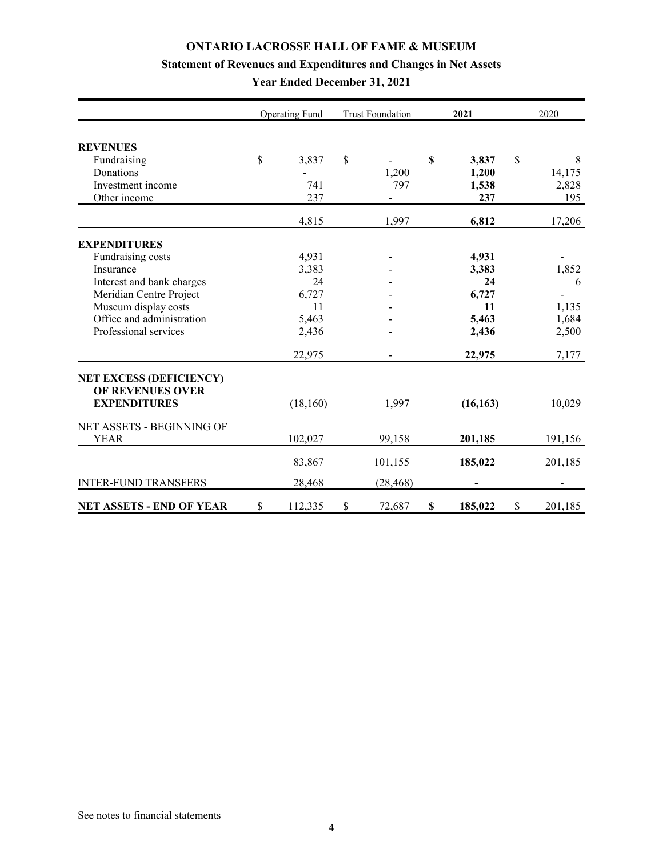# **Statement of Revenues and Expenditures and Changes in Net Assets**

**Year Ended December 31, 2021**

|                                                    |              | <b>Operating Fund</b> | <b>Trust Foundation</b>  | 2021          |              | 2020    |
|----------------------------------------------------|--------------|-----------------------|--------------------------|---------------|--------------|---------|
| <b>REVENUES</b>                                    |              |                       |                          |               |              |         |
| Fundraising                                        | $\mathbb{S}$ | 3,837                 | \$                       | \$<br>3,837   | $\mathbb{S}$ | 8       |
| Donations                                          |              |                       | 1,200                    | 1,200         |              | 14,175  |
| Investment income                                  |              | 741                   | 797                      | 1,538         |              | 2,828   |
| Other income                                       |              | 237                   |                          | 237           |              | 195     |
|                                                    |              | 4,815                 | 1,997                    | 6,812         |              | 17,206  |
| <b>EXPENDITURES</b>                                |              |                       |                          |               |              |         |
| Fundraising costs                                  |              | 4,931                 |                          | 4,931         |              |         |
| Insurance                                          |              | 3,383                 |                          | 3,383         |              | 1,852   |
| Interest and bank charges                          |              | 24                    |                          | 24            |              | 6       |
| Meridian Centre Project                            |              | 6,727                 |                          | 6,727         |              |         |
| Museum display costs                               |              | 11                    |                          | 11            |              | 1,135   |
| Office and administration                          |              | 5,463                 |                          | 5,463         |              | 1,684   |
| Professional services                              |              | 2,436                 |                          | 2,436         |              | 2,500   |
|                                                    |              | 22,975                | $\overline{\phantom{a}}$ | 22,975        |              | 7,177   |
| <b>NET EXCESS (DEFICIENCY)</b><br>OF REVENUES OVER |              |                       |                          |               |              |         |
| <b>EXPENDITURES</b>                                |              | (18,160)              | 1,997                    | (16, 163)     |              | 10,029  |
| NET ASSETS - BEGINNING OF                          |              |                       |                          |               |              |         |
| <b>YEAR</b>                                        |              | 102,027               | 99,158                   | 201,185       |              | 191,156 |
|                                                    |              | 83,867                | 101,155                  | 185,022       |              | 201,185 |
| <b>INTER-FUND TRANSFERS</b>                        |              | 28,468                | (28, 468)                |               |              |         |
| <b>NET ASSETS - END OF YEAR</b>                    | \$           | 112,335               | \$<br>72,687             | \$<br>185,022 | \$           | 201,185 |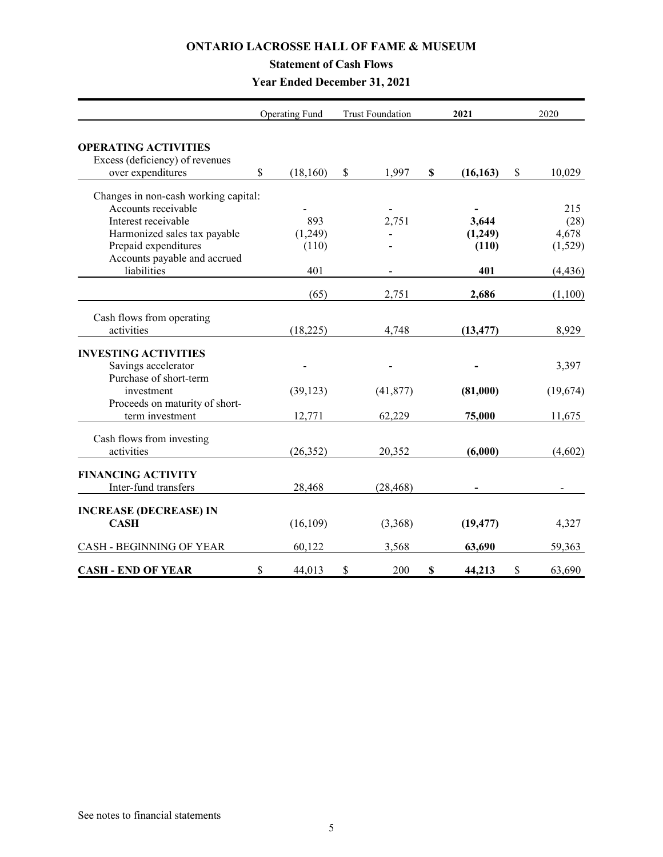# **Statement of Cash Flows**

**Year Ended December 31, 2021**

|                                      | <b>Operating Fund</b> |              | <b>Trust Foundation</b> | 2021            | 2020         |
|--------------------------------------|-----------------------|--------------|-------------------------|-----------------|--------------|
| <b>OPERATING ACTIVITIES</b>          |                       |              |                         |                 |              |
| Excess (deficiency) of revenues      |                       |              |                         |                 |              |
| over expenditures                    | \$<br>(18, 160)       | $\mathbb{S}$ | 1,997                   | \$<br>(16, 163) | \$<br>10,029 |
| Changes in non-cash working capital: |                       |              |                         |                 |              |
| Accounts receivable                  |                       |              |                         |                 | 215          |
| Interest receivable                  | 893                   |              | 2,751                   | 3,644           | (28)         |
| Harmonized sales tax payable         | (1,249)               |              |                         | (1,249)         | 4,678        |
| Prepaid expenditures                 | (110)                 |              |                         | (110)           | (1,529)      |
| Accounts payable and accrued         |                       |              |                         |                 |              |
| liabilities                          | 401                   |              |                         | 401             | (4, 436)     |
|                                      | (65)                  |              | 2,751                   | 2,686           | (1,100)      |
| Cash flows from operating            |                       |              |                         |                 |              |
| activities                           | (18, 225)             |              | 4,748                   | (13, 477)       | 8,929        |
| <b>INVESTING ACTIVITIES</b>          |                       |              |                         |                 |              |
| Savings accelerator                  |                       |              |                         |                 | 3,397        |
| Purchase of short-term               |                       |              |                         |                 |              |
| investment                           | (39, 123)             |              | (41, 877)               | (81,000)        | (19,674)     |
| Proceeds on maturity of short-       |                       |              |                         |                 |              |
| term investment                      | 12,771                |              | 62,229                  | 75,000          | 11,675       |
| Cash flows from investing            |                       |              |                         |                 |              |
| activities                           | (26, 352)             |              | 20,352                  | (6,000)         | (4,602)      |
| <b>FINANCING ACTIVITY</b>            |                       |              |                         |                 |              |
| Inter-fund transfers                 | 28,468                |              | (28, 468)               |                 |              |
| <b>INCREASE (DECREASE) IN</b>        |                       |              |                         |                 |              |
| <b>CASH</b>                          | (16, 109)             |              | (3,368)                 | (19, 477)       | 4,327        |
| CASH - BEGINNING OF YEAR             | 60,122                |              | 3,568                   | 63,690          | 59,363       |
| <b>CASH - END OF YEAR</b>            | \$<br>44,013          | \$           | 200                     | \$<br>44,213    | \$<br>63,690 |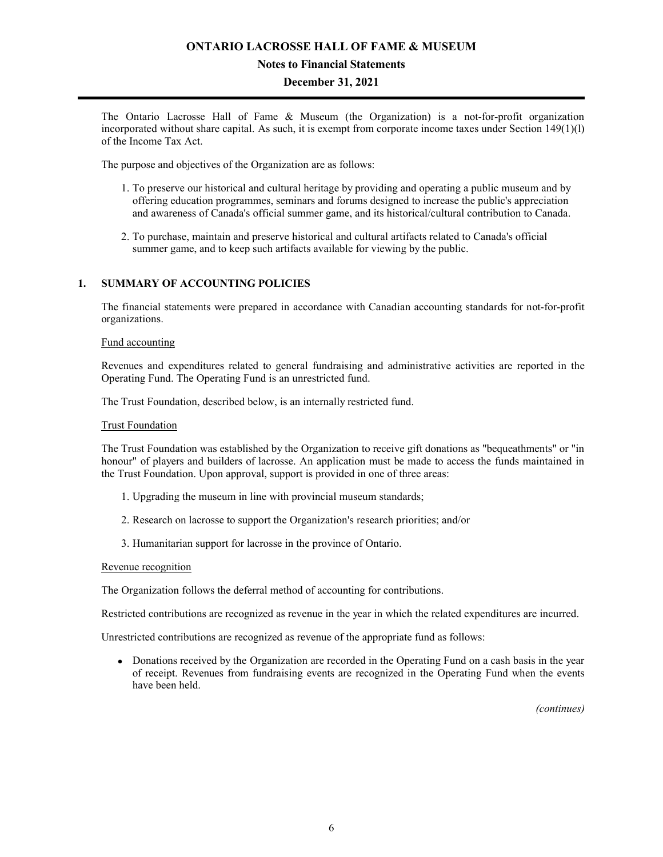## **Notes to Financial Statements**

# **December 31, 2021**

The Ontario Lacrosse Hall of Fame & Museum (the Organization) is a not-for-profit organization incorporated without share capital. As such, it is exempt from corporate income taxes under Section 149(1)(l) of the Income Tax Act.

The purpose and objectives of the Organization are as follows:

- 1. To preserve our historical and cultural heritage by providing and operating a public museum and by offering education programmes, seminars and forums designed to increase the public's appreciation and awareness of Canada's official summer game, and its historical/cultural contribution to Canada.
- 2. To purchase, maintain and preserve historical and cultural artifacts related to Canada's official summer game, and to keep such artifacts available for viewing by the public.

# **1. SUMMARY OF ACCOUNTING POLICIES**

The financial statements were prepared in accordance with Canadian accounting standards for not-for-profit organizations.

#### Fund accounting

Revenues and expenditures related to general fundraising and administrative activities are reported in the Operating Fund. The Operating Fund is an unrestricted fund.

The Trust Foundation, described below, is an internally restricted fund.

#### Trust Foundation

The Trust Foundation was established by the Organization to receive gift donations as "bequeathments" or "in honour" of players and builders of lacrosse. An application must be made to access the funds maintained in the Trust Foundation. Upon approval, support is provided in one of three areas:

- 1. Upgrading the museum in line with provincial museum standards;
- 2. Research on lacrosse to support the Organization's research priorities; and/or
- 3. Humanitarian support for lacrosse in the province of Ontario.

#### Revenue recognition

The Organization follows the deferral method of accounting for contributions.

Restricted contributions are recognized as revenue in the year in which the related expenditures are incurred.

Unrestricted contributions are recognized as revenue of the appropriate fund as follows:

 Donations received by the Organization are recorded in the Operating Fund on a cash basis in the year of receipt. Revenues from fundraising events are recognized in the Operating Fund when the events have been held.

*(continues)*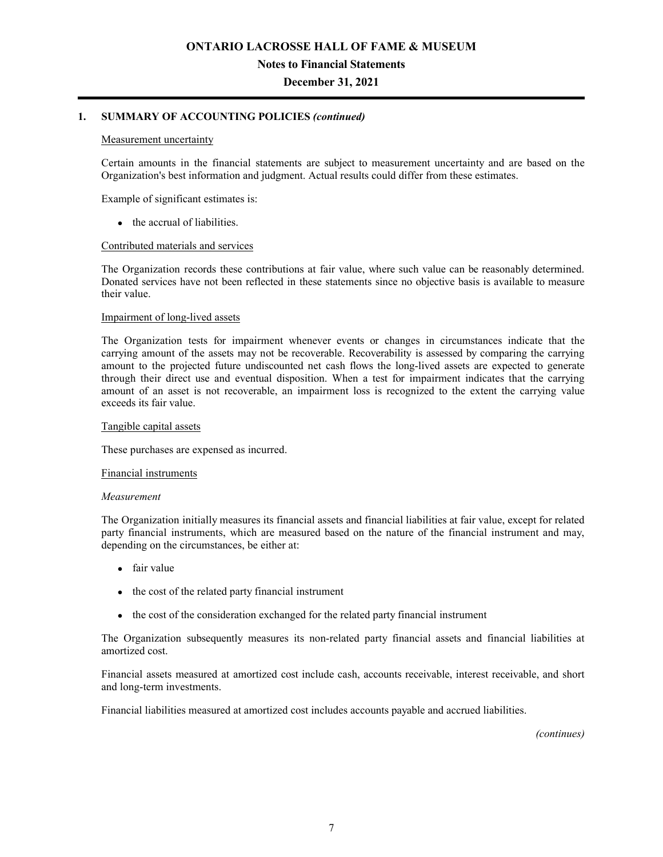#### **Notes to Financial Statements**

# **December 31, 2021**

# **1. SUMMARY OF ACCOUNTING POLICIES** *(continued)*

#### Measurement uncertainty

Certain amounts in the financial statements are subject to measurement uncertainty and are based on the Organization's best information and judgment. Actual results could differ from these estimates.

Example of significant estimates is:

• the accrual of liabilities.

#### Contributed materials and services

The Organization records these contributions at fair value, where such value can be reasonably determined. Donated services have not been reflected in these statements since no objective basis is available to measure their value.

#### Impairment of long-lived assets

The Organization tests for impairment whenever events or changes in circumstances indicate that the carrying amount of the assets may not be recoverable. Recoverability is assessed by comparing the carrying amount to the projected future undiscounted net cash flows the long-lived assets are expected to generate through their direct use and eventual disposition. When a test for impairment indicates that the carrying amount of an asset is not recoverable, an impairment loss is recognized to the extent the carrying value exceeds its fair value.

#### Tangible capital assets

These purchases are expensed as incurred.

#### Financial instruments

#### *Measurement*

The Organization initially measures its financial assets and financial liabilities at fair value, except for related party financial instruments, which are measured based on the nature of the financial instrument and may, depending on the circumstances, be either at:

- fair value
- the cost of the related party financial instrument
- the cost of the consideration exchanged for the related party financial instrument

The Organization subsequently measures its non-related party financial assets and financial liabilities at amortized cost.

Financial assets measured at amortized cost include cash, accounts receivable, interest receivable, and short and long-term investments.

Financial liabilities measured at amortized cost includes accounts payable and accrued liabilities.

*(continues)*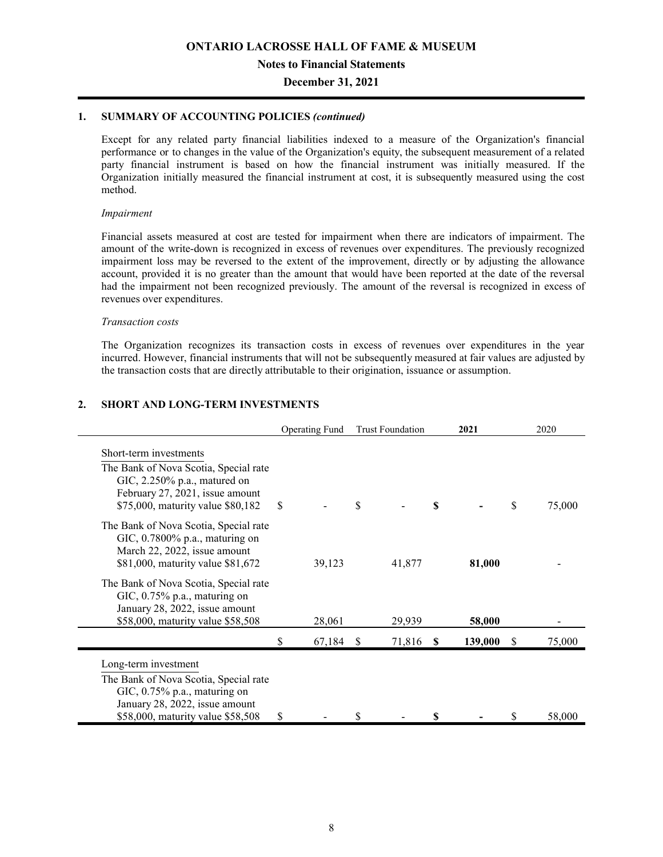#### **Notes to Financial Statements**

#### **December 31, 2021**

# **1. SUMMARY OF ACCOUNTING POLICIES** *(continued)*

Except for any related party financial liabilities indexed to a measure of the Organization's financial performance or to changes in the value of the Organization's equity, the subsequent measurement of a related party financial instrument is based on how the financial instrument was initially measured. If the Organization initially measured the financial instrument at cost, it is subsequently measured using the cost method.

#### *Impairment*

Financial assets measured at cost are tested for impairment when there are indicators of impairment. The amount of the write-down is recognized in excess of revenues over expenditures. The previously recognized impairment loss may be reversed to the extent of the improvement, directly or by adjusting the allowance account, provided it is no greater than the amount that would have been reported at the date of the reversal had the impairment not been recognized previously. The amount of the reversal is recognized in excess of revenues over expenditures.

#### *Transaction costs*

The Organization recognizes its transaction costs in excess of revenues over expenditures in the year incurred. However, financial instruments that will not be subsequently measured at fair values are adjusted by the transaction costs that are directly attributable to their origination, issuance or assumption.

# **2. SHORT AND LONG-TERM INVESTMENTS**

|                                                                                                                                                                      | Operating Fund | <b>Trust Foundation</b> | 2021         | 2020         |
|----------------------------------------------------------------------------------------------------------------------------------------------------------------------|----------------|-------------------------|--------------|--------------|
| Short-term investments<br>The Bank of Nova Scotia, Special rate<br>GIC, 2.250% p.a., matured on                                                                      |                |                         |              |              |
| February 27, 2021, issue amount<br>\$75,000, maturity value \$80,182                                                                                                 | \$             | \$                      | <b>S</b>     | \$<br>75,000 |
| The Bank of Nova Scotia, Special rate<br>GIC, 0.7800% p.a., maturing on<br>March 22, 2022, issue amount<br>\$81,000, maturity value \$81,672                         | 39,123         | 41,877                  | 81,000       |              |
| The Bank of Nova Scotia, Special rate<br>GIC, $0.75\%$ p.a., maturing on<br>January 28, 2022, issue amount<br>\$58,000, maturity value \$58,508                      | 28,061         | 29,939                  | 58,000       |              |
|                                                                                                                                                                      | 67,184<br>S    | 71,816<br>S             | 139,000<br>S | S<br>75,000  |
| Long-term investment<br>The Bank of Nova Scotia, Special rate<br>GIC, 0.75% p.a., maturing on<br>January 28, 2022, issue amount<br>\$58,000, maturity value \$58,508 | S              | S                       | S            | 58,000<br>S  |